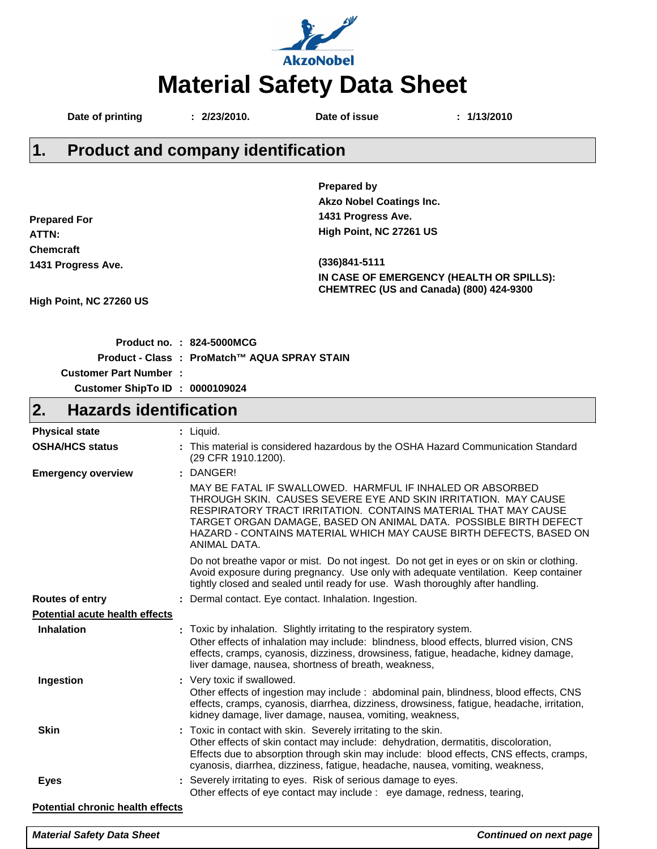

|        | Date of printing                                                                                                                                                                                                                     | : 2/23/2010.                              | Date of issue                   | : 1/13/2010                                                                         |
|--------|--------------------------------------------------------------------------------------------------------------------------------------------------------------------------------------------------------------------------------------|-------------------------------------------|---------------------------------|-------------------------------------------------------------------------------------|
| $ 1$ . |                                                                                                                                                                                                                                      | <b>Product and company identification</b> |                                 |                                                                                     |
|        |                                                                                                                                                                                                                                      |                                           | <b>Prepared by</b>              |                                                                                     |
|        |                                                                                                                                                                                                                                      |                                           | <b>Akzo Nobel Coatings Inc.</b> |                                                                                     |
|        | <b>Prepared For</b>                                                                                                                                                                                                                  |                                           | 1431 Progress Ave.              |                                                                                     |
| ATTN:  |                                                                                                                                                                                                                                      |                                           | High Point, NC 27261 US         |                                                                                     |
|        | <b>Chemcraft</b>                                                                                                                                                                                                                     |                                           |                                 |                                                                                     |
|        | 1431 Progress Ave.                                                                                                                                                                                                                   |                                           | $(336)841 - 5111$               |                                                                                     |
|        |                                                                                                                                                                                                                                      |                                           |                                 | IN CASE OF EMERGENCY (HEALTH OR SPILLS):<br>CHEMTREC (US and Canada) (800) 424-9300 |
|        | High Point, NC 27260 US                                                                                                                                                                                                              |                                           |                                 |                                                                                     |
|        | <b>Production of the contract of the contract of the contract of the contract of the contract of the contract of the contract of the contract of the contract of the contract of the contract of the contract of the contract of</b> | AA LEAAALLAA                              |                                 |                                                                                     |

|                                 | Product no. : 824-5000MCG                   |
|---------------------------------|---------------------------------------------|
|                                 | Product - Class: ProMatch™ AQUA SPRAY STAIN |
| <b>Customer Part Number:</b>    |                                             |
| Customer ShipTo ID : 0000109024 |                                             |

### **Hazards identification 2.**

| <b>Physical state</b>                   | : Liquid.                                                                                                                                                                                                                                                                                                                                               |
|-----------------------------------------|---------------------------------------------------------------------------------------------------------------------------------------------------------------------------------------------------------------------------------------------------------------------------------------------------------------------------------------------------------|
| <b>OSHA/HCS status</b>                  | : This material is considered hazardous by the OSHA Hazard Communication Standard<br>(29 CFR 1910.1200).                                                                                                                                                                                                                                                |
| <b>Emergency overview</b>               | : DANGER!                                                                                                                                                                                                                                                                                                                                               |
|                                         | MAY BE FATAL IF SWALLOWED. HARMFUL IF INHALED OR ABSORBED<br>THROUGH SKIN. CAUSES SEVERE EYE AND SKIN IRRITATION. MAY CAUSE<br>RESPIRATORY TRACT IRRITATION. CONTAINS MATERIAL THAT MAY CAUSE<br>TARGET ORGAN DAMAGE, BASED ON ANIMAL DATA. POSSIBLE BIRTH DEFECT<br>HAZARD - CONTAINS MATERIAL WHICH MAY CAUSE BIRTH DEFECTS, BASED ON<br>ANIMAL DATA. |
|                                         | Do not breathe vapor or mist. Do not ingest. Do not get in eyes or on skin or clothing.<br>Avoid exposure during pregnancy. Use only with adequate ventilation. Keep container<br>tightly closed and sealed until ready for use. Wash thoroughly after handling.                                                                                        |
| <b>Routes of entry</b>                  | : Dermal contact. Eye contact. Inhalation. Ingestion.                                                                                                                                                                                                                                                                                                   |
| <b>Potential acute health effects</b>   |                                                                                                                                                                                                                                                                                                                                                         |
| <b>Inhalation</b>                       | : Toxic by inhalation. Slightly irritating to the respiratory system.<br>Other effects of inhalation may include: blindness, blood effects, blurred vision, CNS<br>effects, cramps, cyanosis, dizziness, drowsiness, fatigue, headache, kidney damage,<br>liver damage, nausea, shortness of breath, weakness,                                          |
| Ingestion                               | : Very toxic if swallowed.<br>Other effects of ingestion may include: abdominal pain, blindness, blood effects, CNS<br>effects, cramps, cyanosis, diarrhea, dizziness, drowsiness, fatigue, headache, irritation,<br>kidney damage, liver damage, nausea, vomiting, weakness,                                                                           |
| <b>Skin</b>                             | : Toxic in contact with skin. Severely irritating to the skin.<br>Other effects of skin contact may include: dehydration, dermatitis, discoloration,<br>Effects due to absorption through skin may include: blood effects, CNS effects, cramps,<br>cyanosis, diarrhea, dizziness, fatigue, headache, nausea, vomiting, weakness,                        |
| <b>Eyes</b>                             | : Severely irritating to eyes. Risk of serious damage to eyes.<br>Other effects of eye contact may include : eye damage, redness, tearing,                                                                                                                                                                                                              |
| <b>Potential chronic health effects</b> |                                                                                                                                                                                                                                                                                                                                                         |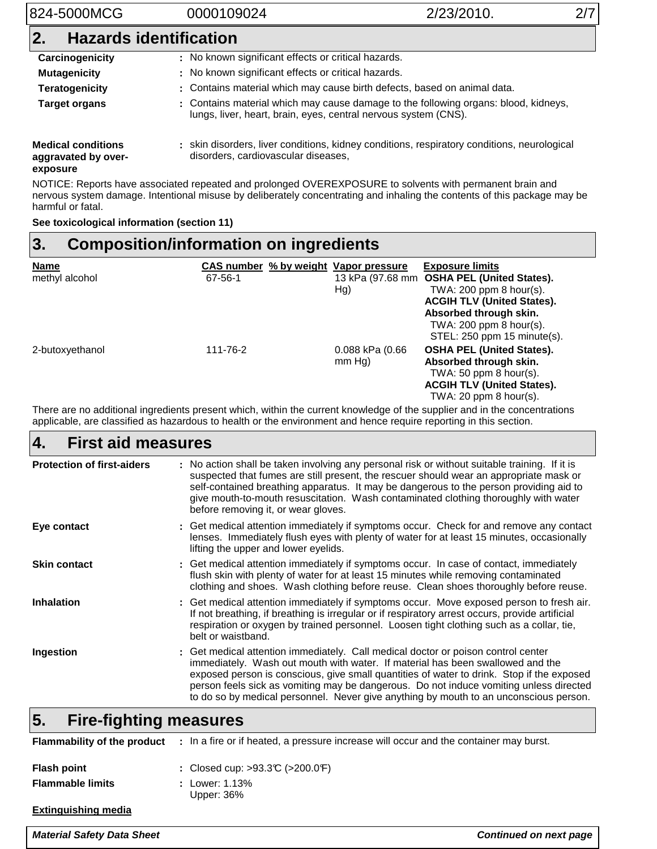# 824-5000MCG 0000109024 2/23/2010. 2/7 **2. Hazards identification** Carcinogenicity : No known significant effects or critical hazards. **Mutagenicity : No known significant effects or critical hazards. Teratogenicity :** Contains material which may cause birth defects, based on animal data. **Target organs** : Contains material which may cause damage to the following organs: blood, kidneys, lungs, liver, heart, brain, eyes, central nervous system (CNS).

**Medical conditions aggravated by over**skin disorders, liver conditions, kidney conditions, respiratory conditions, neurological **:** disorders, cardiovascular diseases,

### **exposure**

NOTICE: Reports have associated repeated and prolonged OVEREXPOSURE to solvents with permanent brain and nervous system damage. Intentional misuse by deliberately concentrating and inhaling the contents of this package may be harmful or fatal.

**See toxicological information (section 11)**

#### **Composition/information on ingredients 3.**

| <b>Name</b><br>methyl alcohol | CAS number % by weight Vapor pressure<br>67-56-1 | Hg)                       | <b>Exposure limits</b><br>13 kPa (97.68 mm OSHA PEL (United States).<br>TWA: $200$ ppm 8 hour(s).<br><b>ACGIH TLV (United States).</b><br>Absorbed through skin.<br>TWA: 200 ppm 8 hour(s).<br>STEL: 250 ppm 15 minute(s). |
|-------------------------------|--------------------------------------------------|---------------------------|----------------------------------------------------------------------------------------------------------------------------------------------------------------------------------------------------------------------------|
| 2-butoxyethanol               | 111-76-2                                         | 0.088 kPa (0.66<br>mm Hg) | <b>OSHA PEL (United States).</b><br>Absorbed through skin.<br>TWA: $50$ ppm 8 hour(s).<br><b>ACGIH TLV (United States).</b><br>TWA: $20$ ppm $8$ hour(s).                                                                  |

There are no additional ingredients present which, within the current knowledge of the supplier and in the concentrations applicable, are classified as hazardous to health or the environment and hence require reporting in this section.

### Get medical attention immediately. Call medical doctor or poison control center **:** immediately. Wash out mouth with water. If material has been swallowed and the exposed person is conscious, give small quantities of water to drink. Stop if the exposed person feels sick as vomiting may be dangerous. Do not induce vomiting unless directed to do so by medical personnel. Never give anything by mouth to an unconscious person. Get medical attention immediately if symptoms occur. Check for and remove any contact **:** lenses. Immediately flush eyes with plenty of water for at least 15 minutes, occasionally lifting the upper and lower eyelids. Get medical attention immediately if symptoms occur. In case of contact, immediately **:** flush skin with plenty of water for at least 15 minutes while removing contaminated clothing and shoes. Wash clothing before reuse. Clean shoes thoroughly before reuse. Get medical attention immediately if symptoms occur. Move exposed person to fresh air. **:** If not breathing, if breathing is irregular or if respiratory arrest occurs, provide artificial respiration or oxygen by trained personnel. Loosen tight clothing such as a collar, tie, belt or waistband. **First aid measures Eye contact Skin contact Inhalation Ingestion 4. Protection of first-aiders :** No action shall be taken involving any personal risk or without suitable training. If it is suspected that fumes are still present, the rescuer should wear an appropriate mask or self-contained breathing apparatus. It may be dangerous to the person providing aid to give mouth-to-mouth resuscitation. Wash contaminated clothing thoroughly with water before removing it, or wear gloves.

### **Fire-fighting measures 5.**

| Flammability of the product | : In a fire or if heated, a pressure increase will occur and the container may burst. |
|-----------------------------|---------------------------------------------------------------------------------------|
| <b>Flash point</b>          | : Closed cup: $>93.3$ °C ( $>200.0$ °F)                                               |
| <b>Flammable limits</b>     | : Lower: 1.13%<br>Upper: 36%                                                          |
| <b>Extinguishing media</b>  |                                                                                       |

### **Material Safety Data Sheet Continued on next page**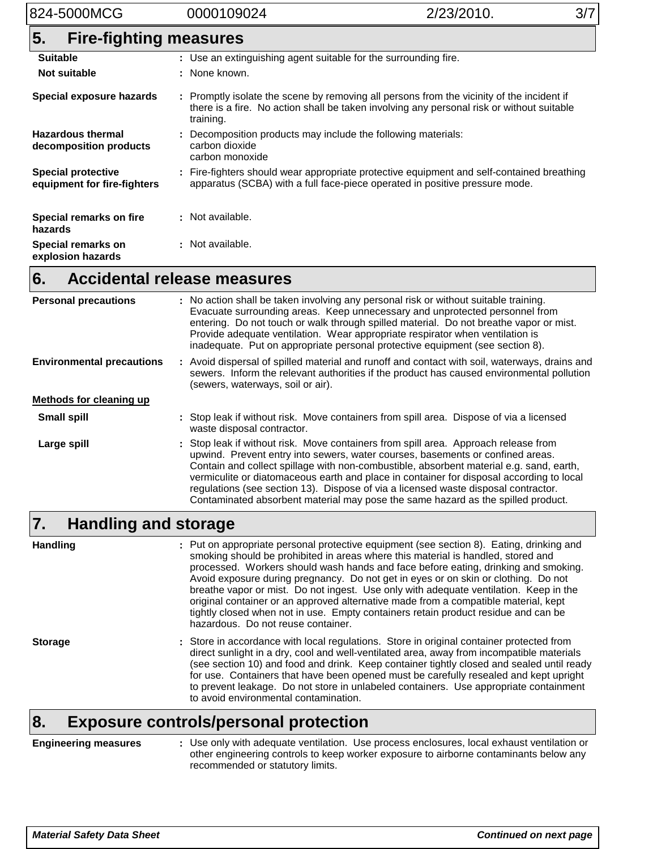# 824-5000MCG 0000109024 2/23/2010. 3/7

| 5.<br><b>Fire-fighting measures</b>                      |                                                                                                                                                                                                     |
|----------------------------------------------------------|-----------------------------------------------------------------------------------------------------------------------------------------------------------------------------------------------------|
| <b>Suitable</b>                                          | : Use an extinguishing agent suitable for the surrounding fire.                                                                                                                                     |
| <b>Not suitable</b>                                      | : None known.                                                                                                                                                                                       |
| Special exposure hazards                                 | : Promptly isolate the scene by removing all persons from the vicinity of the incident if<br>there is a fire. No action shall be taken involving any personal risk or without suitable<br>training. |
| <b>Hazardous thermal</b><br>decomposition products       | : Decomposition products may include the following materials:<br>carbon dioxide<br>carbon monoxide                                                                                                  |
| <b>Special protective</b><br>equipment for fire-fighters | : Fire-fighters should wear appropriate protective equipment and self-contained breathing<br>apparatus (SCBA) with a full face-piece operated in positive pressure mode.                            |
| Special remarks on fire<br>hazards                       | : Not available.                                                                                                                                                                                    |
| Special remarks on<br>explosion hazards                  | : Not available.                                                                                                                                                                                    |
| A salalantal valassa maar<br>r                           |                                                                                                                                                                                                     |

#### **Accidental release measures 6.**

| <b>Personal precautions</b>      | : No action shall be taken involving any personal risk or without suitable training.<br>Evacuate surrounding areas. Keep unnecessary and unprotected personnel from<br>entering. Do not touch or walk through spilled material. Do not breathe vapor or mist.<br>Provide adequate ventilation. Wear appropriate respirator when ventilation is<br>inadequate. Put on appropriate personal protective equipment (see section 8).                                                                                                        |
|----------------------------------|----------------------------------------------------------------------------------------------------------------------------------------------------------------------------------------------------------------------------------------------------------------------------------------------------------------------------------------------------------------------------------------------------------------------------------------------------------------------------------------------------------------------------------------|
| <b>Environmental precautions</b> | : Avoid dispersal of spilled material and runoff and contact with soil, waterways, drains and<br>sewers. Inform the relevant authorities if the product has caused environmental pollution<br>(sewers, waterways, soil or air).                                                                                                                                                                                                                                                                                                        |
| Methods for cleaning up          |                                                                                                                                                                                                                                                                                                                                                                                                                                                                                                                                        |
| <b>Small spill</b>               | : Stop leak if without risk. Move containers from spill area. Dispose of via a licensed<br>waste disposal contractor.                                                                                                                                                                                                                                                                                                                                                                                                                  |
| Large spill                      | : Stop leak if without risk. Move containers from spill area. Approach release from<br>upwind. Prevent entry into sewers, water courses, basements or confined areas.<br>Contain and collect spillage with non-combustible, absorbent material e.g. sand, earth,<br>vermiculite or diatomaceous earth and place in container for disposal according to local<br>regulations (see section 13). Dispose of via a licensed waste disposal contractor.<br>Contaminated absorbent material may pose the same hazard as the spilled product. |

#### **Handling and storage 7.**

Put on appropriate personal protective equipment (see section 8). Eating, drinking and **:** smoking should be prohibited in areas where this material is handled, stored and processed. Workers should wash hands and face before eating, drinking and smoking. Avoid exposure during pregnancy. Do not get in eyes or on skin or clothing. Do not breathe vapor or mist. Do not ingest. Use only with adequate ventilation. Keep in the original container or an approved alternative made from a compatible material, kept tightly closed when not in use. Empty containers retain product residue and can be hazardous. Do not reuse container. **Handling**

Store in accordance with local regulations. Store in original container protected from **:** direct sunlight in a dry, cool and well-ventilated area, away from incompatible materials (see section 10) and food and drink. Keep container tightly closed and sealed until ready for use. Containers that have been opened must be carefully resealed and kept upright to prevent leakage. Do not store in unlabeled containers. Use appropriate containment to avoid environmental contamination. **Storage**

# **8. Exposure controls/personal protection**

**Engineering measures :** Use only with adequate ventilation. Use process enclosures, local exhaust ventilation or other engineering controls to keep worker exposure to airborne contaminants below any recommended or statutory limits.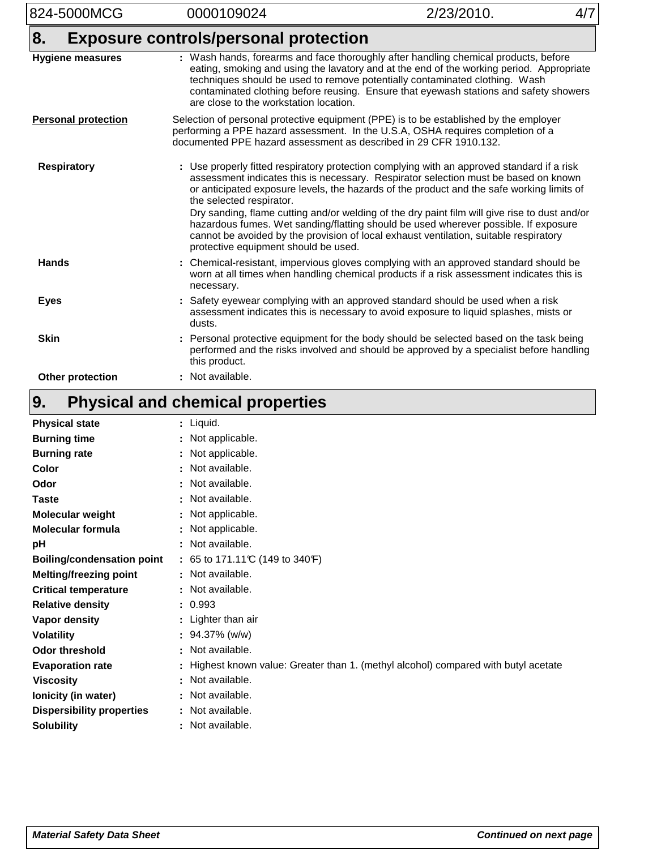| 824-5000MCG                | 0000109024                                                                                                                                                                                                                                    | 2/23/2010.                                                                                                                                                                                                                                                                                                                                                                                                                                                        | 4/7 |
|----------------------------|-----------------------------------------------------------------------------------------------------------------------------------------------------------------------------------------------------------------------------------------------|-------------------------------------------------------------------------------------------------------------------------------------------------------------------------------------------------------------------------------------------------------------------------------------------------------------------------------------------------------------------------------------------------------------------------------------------------------------------|-----|
| 8.                         | <b>Exposure controls/personal protection</b>                                                                                                                                                                                                  |                                                                                                                                                                                                                                                                                                                                                                                                                                                                   |     |
| <b>Hygiene measures</b>    | : Wash hands, forearms and face thoroughly after handling chemical products, before<br>are close to the workstation location.                                                                                                                 | eating, smoking and using the lavatory and at the end of the working period. Appropriate<br>techniques should be used to remove potentially contaminated clothing. Wash<br>contaminated clothing before reusing. Ensure that eyewash stations and safety showers                                                                                                                                                                                                  |     |
| <b>Personal protection</b> | Selection of personal protective equipment (PPE) is to be established by the employer<br>performing a PPE hazard assessment. In the U.S.A, OSHA requires completion of a<br>documented PPE hazard assessment as described in 29 CFR 1910.132. |                                                                                                                                                                                                                                                                                                                                                                                                                                                                   |     |
| <b>Respiratory</b>         | : Use properly fitted respiratory protection complying with an approved standard if a risk<br>the selected respirator.<br>protective equipment should be used.                                                                                | assessment indicates this is necessary. Respirator selection must be based on known<br>or anticipated exposure levels, the hazards of the product and the safe working limits of<br>Dry sanding, flame cutting and/or welding of the dry paint film will give rise to dust and/or<br>hazardous fumes. Wet sanding/flatting should be used wherever possible. If exposure<br>cannot be avoided by the provision of local exhaust ventilation, suitable respiratory |     |
| <b>Hands</b>               | necessary.                                                                                                                                                                                                                                    | Chemical-resistant, impervious gloves complying with an approved standard should be<br>worn at all times when handling chemical products if a risk assessment indicates this is                                                                                                                                                                                                                                                                                   |     |
| <b>Eyes</b>                | dusts.                                                                                                                                                                                                                                        | Safety eyewear complying with an approved standard should be used when a risk<br>assessment indicates this is necessary to avoid exposure to liquid splashes, mists or                                                                                                                                                                                                                                                                                            |     |
| <b>Skin</b>                | : Personal protective equipment for the body should be selected based on the task being<br>this product.                                                                                                                                      | performed and the risks involved and should be approved by a specialist before handling                                                                                                                                                                                                                                                                                                                                                                           |     |
| Other protection           | : Not available.                                                                                                                                                                                                                              |                                                                                                                                                                                                                                                                                                                                                                                                                                                                   |     |

### **Physical and chemical properties 9.**

| <b>Physical state</b>             | : Liquid.                                                                           |
|-----------------------------------|-------------------------------------------------------------------------------------|
| <b>Burning time</b>               | : Not applicable.                                                                   |
| <b>Burning rate</b>               | : Not applicable.                                                                   |
| Color                             | : Not available.                                                                    |
| Odor                              | : Not available.                                                                    |
| <b>Taste</b>                      | : Not available.                                                                    |
| Molecular weight                  | : Not applicable.                                                                   |
| <b>Molecular formula</b>          | : Not applicable.                                                                   |
| pH                                | : Not available.                                                                    |
| <b>Boiling/condensation point</b> | : 65 to 171.11 $C(149)$ to 340 F)                                                   |
| <b>Melting/freezing point</b>     | : Not available.                                                                    |
| <b>Critical temperature</b>       | : Not available.                                                                    |
| <b>Relative density</b>           | : 0.993                                                                             |
| Vapor density                     | : Lighter than air                                                                  |
| <b>Volatility</b>                 | $: 94.37\%$ (w/w)                                                                   |
| <b>Odor threshold</b>             | : Not available.                                                                    |
| <b>Evaporation rate</b>           | : Highest known value: Greater than 1. (methyl alcohol) compared with butyl acetate |
| <b>Viscosity</b>                  | : Not available.                                                                    |
| Ionicity (in water)               | : Not available.                                                                    |
| <b>Dispersibility properties</b>  | : Not available.                                                                    |
| <b>Solubility</b>                 | : Not available.                                                                    |
|                                   |                                                                                     |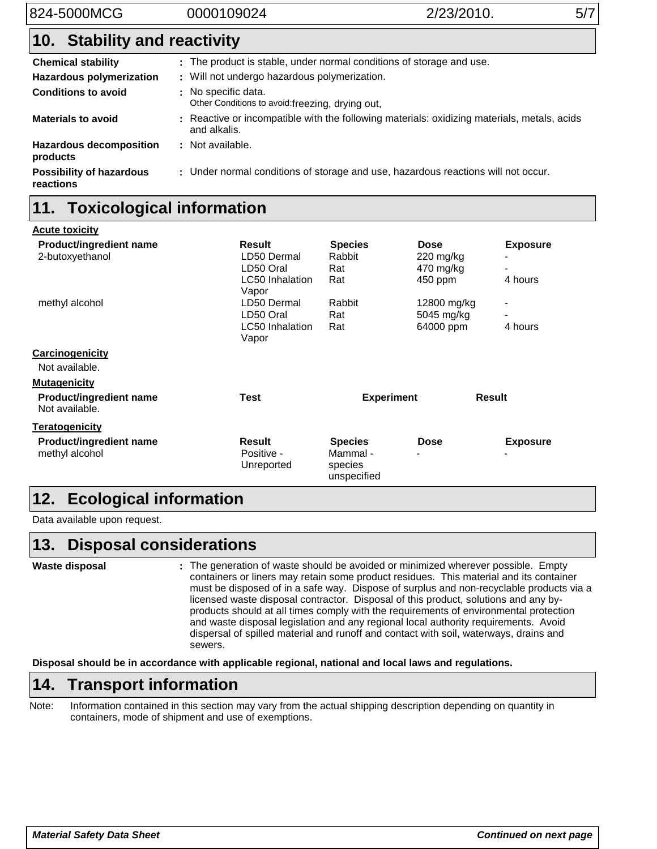# **Stability and reactivity 10.**

| <b>Chemical stability</b>                    | : The product is stable, under normal conditions of storage and use.                                        |
|----------------------------------------------|-------------------------------------------------------------------------------------------------------------|
| <b>Hazardous polymerization</b>              | : Will not undergo hazardous polymerization.                                                                |
| <b>Conditions to avoid</b>                   | : No specific data.<br>Other Conditions to avoid: freezing, drying out,                                     |
| <b>Materials to avoid</b>                    | : Reactive or incompatible with the following materials: oxidizing materials, metals, acids<br>and alkalis. |
| <b>Hazardous decomposition</b><br>products   | : Not available.                                                                                            |
| <b>Possibility of hazardous</b><br>reactions | : Under normal conditions of storage and use, hazardous reactions will not occur.                           |

# **11. Toxicological information**

| <b>Acute toxicity</b>                            |                                    |                                       |                                         |                                             |
|--------------------------------------------------|------------------------------------|---------------------------------------|-----------------------------------------|---------------------------------------------|
| <b>Product/ingredient name</b>                   | Result                             | <b>Species</b>                        | <b>Dose</b>                             | <b>Exposure</b>                             |
| 2-butoxyethanol                                  | LD50 Dermal                        | Rabbit                                | $220$ mg/kg                             |                                             |
|                                                  | LD50 Oral                          | Rat                                   | 470 mg/kg                               | $\overline{\phantom{a}}$                    |
|                                                  | <b>LC50</b> Inhalation<br>Vapor    | Rat                                   | 450 ppm                                 | 4 hours                                     |
| methyl alcohol                                   | LD50 Dermal                        | Rabbit                                | 12800 mg/kg                             | $\overline{\phantom{a}}$                    |
|                                                  | LD50 Oral                          | Rat                                   | 5045 mg/kg                              |                                             |
|                                                  | <b>LC50</b> Inhalation             | Rat                                   | 64000 ppm                               | 4 hours                                     |
|                                                  | Vapor                              |                                       |                                         |                                             |
| Carcinogenicity                                  |                                    |                                       |                                         |                                             |
| Not available.                                   |                                    |                                       |                                         |                                             |
| <b>Mutagenicity</b>                              |                                    |                                       |                                         |                                             |
| <b>Product/ingredient name</b><br>Not available. | <b>Test</b>                        | <b>Experiment</b>                     |                                         | <b>Result</b>                               |
| <b>Teratogenicity</b>                            |                                    |                                       |                                         |                                             |
| <b>Product/ingredient name</b><br>methyl alcohol | Result<br>Positive -<br>Unreported | <b>Species</b><br>Mammal -<br>species | <b>Dose</b><br>$\overline{\phantom{0}}$ | <b>Exposure</b><br>$\overline{\phantom{a}}$ |
|                                                  |                                    | unspecified                           |                                         |                                             |

# **12. Ecological information**

Data available upon request.

#### **Disposal considerations 13.**

**Waste disposal**

The generation of waste should be avoided or minimized wherever possible. Empty **:** containers or liners may retain some product residues. This material and its container must be disposed of in a safe way. Dispose of surplus and non-recyclable products via a licensed waste disposal contractor. Disposal of this product, solutions and any byproducts should at all times comply with the requirements of environmental protection and waste disposal legislation and any regional local authority requirements. Avoid dispersal of spilled material and runoff and contact with soil, waterways, drains and sewers.

**Disposal should be in accordance with applicable regional, national and local laws and regulations.**

# **14. Transport information**

Note: Information contained in this section may vary from the actual shipping description depending on quantity in containers, mode of shipment and use of exemptions.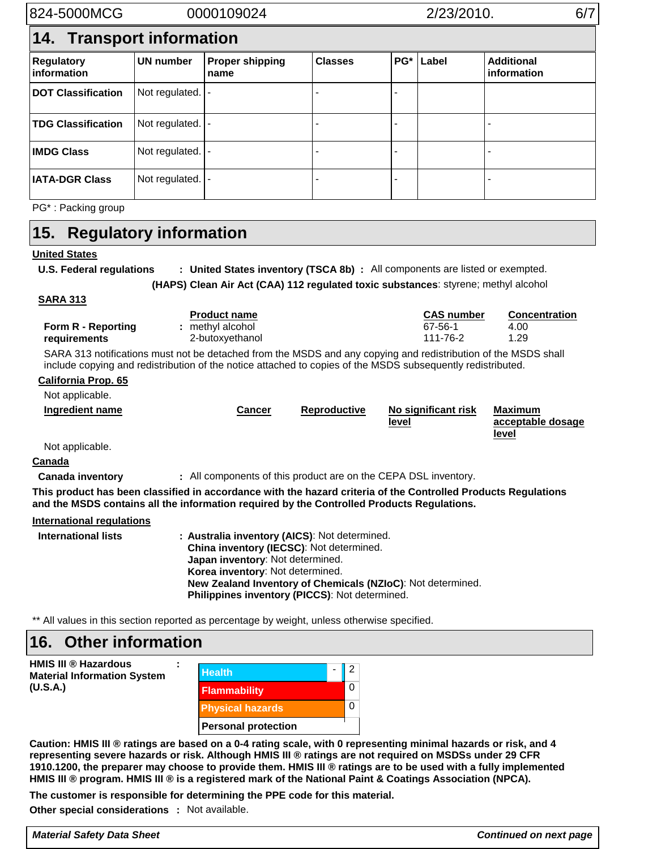| 824-5000MCG                      | 0000109024     |                                | 2/23/2010.     |       |       | 6/7                              |  |  |
|----------------------------------|----------------|--------------------------------|----------------|-------|-------|----------------------------------|--|--|
| 14. Transport information        |                |                                |                |       |       |                                  |  |  |
| <b>Regulatory</b><br>information | UN number      | <b>Proper shipping</b><br>name | <b>Classes</b> | $PG*$ | Label | <b>Additional</b><br>information |  |  |
| <b>DOT Classification</b>        | Not regulated. |                                |                |       |       |                                  |  |  |
| <b>TDG Classification</b>        | Not regulated. |                                |                |       |       |                                  |  |  |
| <b>IMDG Class</b>                | Not regulated. |                                |                |       |       |                                  |  |  |
| <b>IATA-DGR Class</b>            | Not regulated. |                                |                |       |       |                                  |  |  |
| PG <sup>*</sup> : Packing group  |                |                                |                |       |       |                                  |  |  |

#### **Regulatory information 15.**

## **United States**

**U.S. Federal regulations** : United States inventory (TSCA 8b) : All components are listed or exempted.

**Clean Air Act (CAA) 112 regulated toxic substances**: styrene; methyl alcohol **(HAPS)**

## **SARA 313**

| Form R - Reporting<br>requirements                                                                                                                                                                           | <b>Product name</b><br>: methyl alcohol<br>2-butoxyethanol                                                                                                                                                                    |              | <b>CAS number</b><br>67-56-1<br>111-76-2                    | <b>Concentration</b><br>4.00<br>1.29         |  |
|--------------------------------------------------------------------------------------------------------------------------------------------------------------------------------------------------------------|-------------------------------------------------------------------------------------------------------------------------------------------------------------------------------------------------------------------------------|--------------|-------------------------------------------------------------|----------------------------------------------|--|
|                                                                                                                                                                                                              | SARA 313 notifications must not be detached from the MSDS and any copying and redistribution of the MSDS shall<br>include copying and redistribution of the notice attached to copies of the MSDS subsequently redistributed. |              |                                                             |                                              |  |
| <b>California Prop. 65</b>                                                                                                                                                                                   |                                                                                                                                                                                                                               |              |                                                             |                                              |  |
| Not applicable.                                                                                                                                                                                              |                                                                                                                                                                                                                               |              |                                                             |                                              |  |
| <b>Ingredient name</b>                                                                                                                                                                                       | <b>Cancer</b>                                                                                                                                                                                                                 | Reproductive | No significant risk<br><u>level</u>                         | <b>Maximum</b><br>acceptable dosage<br>level |  |
| Not applicable.                                                                                                                                                                                              |                                                                                                                                                                                                                               |              |                                                             |                                              |  |
| Canada                                                                                                                                                                                                       |                                                                                                                                                                                                                               |              |                                                             |                                              |  |
| <b>Canada inventory</b>                                                                                                                                                                                      | : All components of this product are on the CEPA DSL inventory.                                                                                                                                                               |              |                                                             |                                              |  |
| This product has been classified in accordance with the hazard criteria of the Controlled Products Regulations<br>and the MSDS contains all the information required by the Controlled Products Regulations. |                                                                                                                                                                                                                               |              |                                                             |                                              |  |
| <b>International regulations</b>                                                                                                                                                                             |                                                                                                                                                                                                                               |              |                                                             |                                              |  |
| <b>International lists</b>                                                                                                                                                                                   | : Australia inventory (AICS): Not determined.<br>China inventory (IECSC): Not determined.<br><b>Japan inventory: Not determined.</b><br>Korea inventory: Not determined.<br>Philippines inventory (PICCS): Not determined.    |              | New Zealand Inventory of Chemicals (NZIoC): Not determined. |                                              |  |

\*\* All values in this section reported as percentage by weight, unless otherwise specified.

#### **Other information 16.**

**HMIS III ® Hazardous Material Information System (U.S.A.)**

| <b>Health</b>              |  |  |
|----------------------------|--|--|
| <b>Flammability</b>        |  |  |
| <b>Physical hazards</b>    |  |  |
| <b>Personal protection</b> |  |  |

**Caution: HMIS III ® ratings are based on a 0-4 rating scale, with 0 representing minimal hazards or risk, and 4 representing severe hazards or risk. Although HMIS III ® ratings are not required on MSDSs under 29 CFR 1910.1200, the preparer may choose to provide them. HMIS III ® ratings are to be used with a fully implemented HMIS III ® program. HMIS III ® is a registered mark of the National Paint & Coatings Association (NPCA).**

**The customer is responsible for determining the PPE code for this material.**

**:**

Other special considerations : Not available.